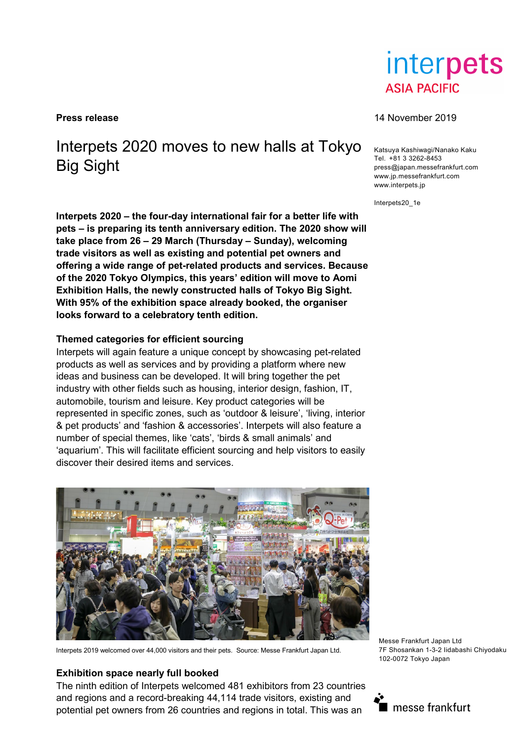# Interpets 2020 moves to new halls at Tokyo Big Sight

**Interpets 2020 – the four-day international fair for a better life with pets – is preparing its tenth anniversary edition. The 2020 show will take place from 26 – 29 March (Thursday – Sunday), welcoming trade visitors as well as existing and potential pet owners and offering a wide range of pet-related products and services. Because of the 2020 Tokyo Olympics, this years' edition will move to Aomi Exhibition Halls, the newly constructed halls of Tokyo Big Sight. With 95% of the exhibition space already booked, the organiser looks forward to a celebratory tenth edition.**

## **Themed categories for efficient sourcing**

Interpets will again feature a unique concept by showcasing pet-related products as well as services and by providing a platform where new ideas and business can be developed. It will bring together the pet industry with other fields such as housing, interior design, fashion, IT, automobile, tourism and leisure. Key product categories will be represented in specific zones, such as 'outdoor & leisure', 'living, interior & pet products' and 'fashion & accessories'. Interpets will also feature a number of special themes, like 'cats', 'birds & small animals' and 'aquarium'. This will facilitate efficient sourcing and help visitors to easily discover their desired items and services.



Interpets 2019 welcomed over 44,000 visitors and their pets. Source: Messe Frankfurt Japan Ltd.

## **Exhibition space nearly full booked**

The ninth edition of Interpets welcomed 481 exhibitors from 23 countries and regions and a record-breaking 44,114 trade visitors, existing and potential pet owners from 26 countries and regions in total. This was an



#### **Press release** 14 November 2019

Katsuya Kashiwagi/Nanako Kaku Tel. +81 3 3262-8453 press@japan.messefrankfurt.com www.jp.messefrankfurt.com www.interpets.jp

Interpets20\_1e

Messe Frankfurt Japan Ltd 7F Shosankan 1-3-2 Iidabashi Chiyodaku 102-0072 Tokyo Japan